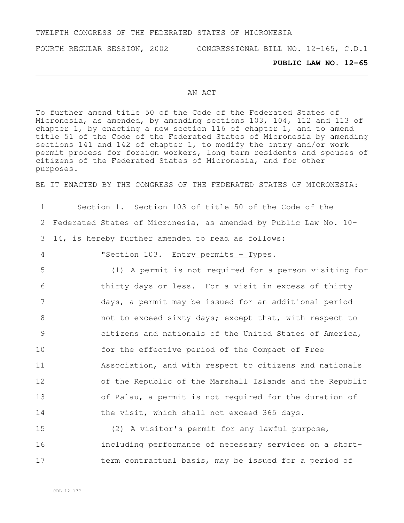#### TWELFTH CONGRESS OF THE FEDERATED STATES OF MICRONESIA

FOURTH REGULAR SESSION, 2002 CONGRESSIONAL BILL NO. 12-165, C.D.1

#### **PUBLIC LAW NO. 12-65**

#### AN ACT

To further amend title 50 of the Code of the Federated States of Micronesia, as amended, by amending sections 103, 104, 112 and 113 of chapter 1, by enacting a new section 116 of chapter 1, and to amend title 51 of the Code of the Federated States of Micronesia by amending sections 141 and 142 of chapter 1, to modify the entry and/or work permit process for foreign workers, long term residents and spouses of .<br>citizens of the Federated States of Micronesia, and for other purposes.

BE IT ENACTED BY THE CONGRESS OF THE FEDERATED STATES OF MICRONESIA:

1 Section 1. Section 103 of title 50 of the Code of the 2 Federated States of Micronesia, as amended by Public Law No. 10- 3 14, is hereby further amended to read as follows:

4 "Section 103. Entry permits - Types.

 (1) A permit is not required for a person visiting for thirty days or less. For a visit in excess of thirty days, a permit may be issued for an additional period 8 6 0 not to exceed sixty days; except that, with respect to citizens and nationals of the United States of America, for the effective period of the Compact of Free Association, and with respect to citizens and nationals of the Republic of the Marshall Islands and the Republic of Palau, a permit is not required for the duration of the visit, which shall not exceed 365 days.

15 (2) A visitor's permit for any lawful purpose, 16 including performance of necessary services on a short-17 term contractual basis, may be issued for a period of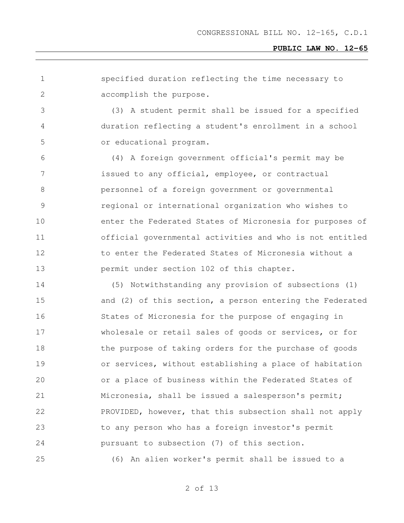specified duration reflecting the time necessary to accomplish the purpose.

 (3) A student permit shall be issued for a specified duration reflecting a student's enrollment in a school or educational program.

 (4) A foreign government official's permit may be issued to any official, employee, or contractual personnel of a foreign government or governmental regional or international organization who wishes to enter the Federated States of Micronesia for purposes of official governmental activities and who is not entitled 12 to enter the Federated States of Micronesia without a permit under section 102 of this chapter.

 (5) Notwithstanding any provision of subsections (1) and (2) of this section, a person entering the Federated States of Micronesia for the purpose of engaging in wholesale or retail sales of goods or services, or for 18 the purpose of taking orders for the purchase of goods or services, without establishing a place of habitation or a place of business within the Federated States of Micronesia, shall be issued a salesperson's permit; PROVIDED, however, that this subsection shall not apply to any person who has a foreign investor's permit pursuant to subsection (7) of this section.

(6) An alien worker's permit shall be issued to a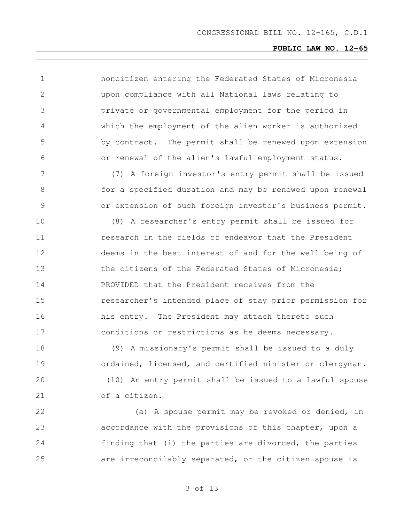noncitizen entering the Federated States of Micronesia upon compliance with all National laws relating to private or governmental employment for the period in which the employment of the alien worker is authorized by contract. The permit shall be renewed upon extension or renewal of the alien's lawful employment status. (7) A foreign investor's entry permit shall be issued for a specified duration and may be renewed upon renewal or extension of such foreign investor's business permit. (8) A researcher's entry permit shall be issued for **11** research in the fields of endeavor that the President deems in the best interest of and for the well-being of 13 the citizens of the Federated States of Micronesia; PROVIDED that the President receives from the researcher's intended place of stay prior permission for his entry. The President may attach thereto such conditions or restrictions as he deems necessary. (9) A missionary's permit shall be issued to a duly ordained, licensed, and certified minister or clergyman. (10) An entry permit shall be issued to a lawful spouse of a citizen. (a) A spouse permit may be revoked or denied, in accordance with the provisions of this chapter, upon a

are irreconcilably separated, or the citizen-spouse is

finding that (i) the parties are divorced, the parties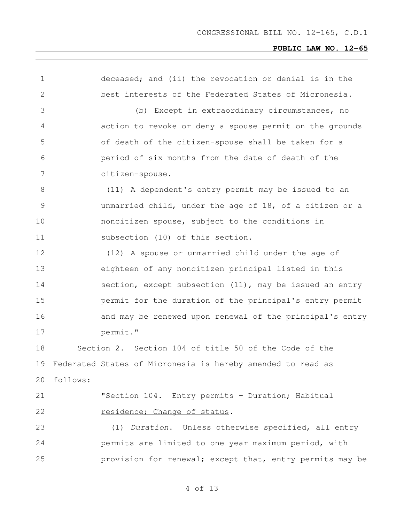| $\mathbf 1$  |          | deceased; and (ii) the revocation or denial is in the       |
|--------------|----------|-------------------------------------------------------------|
| $\mathbf{2}$ |          | best interests of the Federated States of Micronesia.       |
| 3            |          | (b) Except in extraordinary circumstances, no               |
| 4            |          | action to revoke or deny a spouse permit on the grounds     |
| 5            |          | of death of the citizen-spouse shall be taken for a         |
| 6            |          | period of six months from the date of death of the          |
| 7            |          | citizen-spouse.                                             |
| 8            |          | (11) A dependent's entry permit may be issued to an         |
| 9            |          | unmarried child, under the age of 18, of a citizen or a     |
| 10           |          | noncitizen spouse, subject to the conditions in             |
| 11           |          | subsection (10) of this section.                            |
| 12           |          | (12) A spouse or unmarried child under the age of           |
| 13           |          | eighteen of any noncitizen principal listed in this         |
| 14           |          | section, except subsection (11), may be issued an entry     |
| 15           |          | permit for the duration of the principal's entry permit     |
| 16           |          | and may be renewed upon renewal of the principal's entry    |
| 17           |          | permit."                                                    |
| 18           |          | Section 2. Section 104 of title 50 of the Code of the       |
| 19           |          | Federated States of Micronesia is hereby amended to read as |
| 20           | follows: |                                                             |
| 21           |          | "Section 104. Entry permits - Duration; Habitual            |
| 22           |          | residence; Change of status.                                |
| 23           |          | (1) Duration. Unless otherwise specified, all entry         |
| 24           |          | permits are limited to one year maximum period, with        |
| 25           |          | provision for renewal; except that, entry permits may be    |
|              |          |                                                             |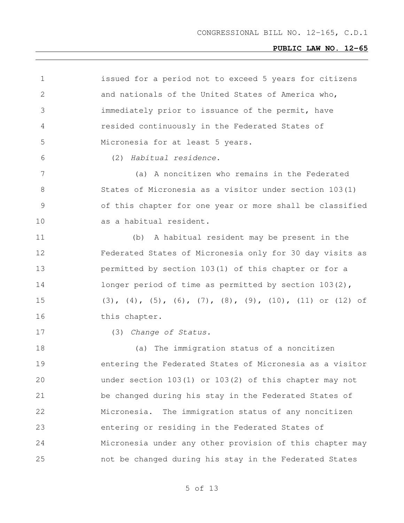| $\mathbf 1$   | issued for a period not to exceed 5 years for citizens                               |
|---------------|--------------------------------------------------------------------------------------|
| 2             | and nationals of the United States of America who,                                   |
| 3             | immediately prior to issuance of the permit, have                                    |
| 4             | resided continuously in the Federated States of                                      |
| 5             | Micronesia for at least 5 years.                                                     |
| 6             | Habitual residence.<br>(2)                                                           |
| 7             | (a) A noncitizen who remains in the Federated                                        |
| 8             | States of Micronesia as a visitor under section 103(1)                               |
| $\mathcal{G}$ | of this chapter for one year or more shall be classified                             |
| 10            | as a habitual resident.                                                              |
| 11            | A habitual resident may be present in the<br>(b)                                     |
| 12            | Federated States of Micronesia only for 30 day visits as                             |
| 13            | permitted by section 103(1) of this chapter or for a                                 |
| 14            | longer period of time as permitted by section $103(2)$ ,                             |
| 15            | $(3)$ , $(4)$ , $(5)$ , $(6)$ , $(7)$ , $(8)$ , $(9)$ , $(10)$ , $(11)$ or $(12)$ of |
| 16            | this chapter.                                                                        |
| 17            | (3) Change of Status.                                                                |
| 18            | (a) The immigration status of a noncitizen                                           |
| 19            | entering the Federated States of Micronesia as a visitor                             |
| 20            | under section 103(1) or 103(2) of this chapter may not                               |
| 21            | be changed during his stay in the Federated States of                                |
| 22            | Micronesia. The immigration status of any noncitizen                                 |
| 23            | entering or residing in the Federated States of                                      |
| 24            | Micronesia under any other provision of this chapter may                             |
| 25            | not be changed during his stay in the Federated States                               |
|               |                                                                                      |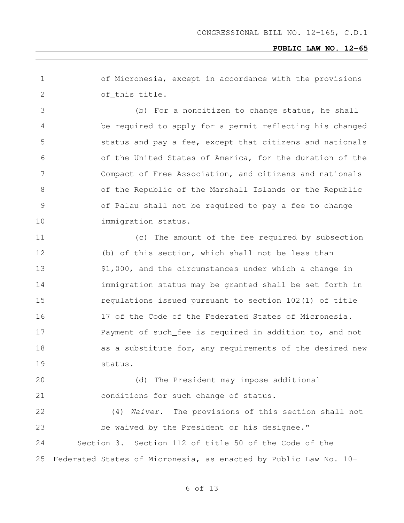of Micronesia, except in accordance with the provisions of this title.

 (b) For a noncitizen to change status, he shall be required to apply for a permit reflecting his changed status and pay a fee, except that citizens and nationals of the United States of America, for the duration of the Compact of Free Association, and citizens and nationals of the Republic of the Marshall Islands or the Republic of Palau shall not be required to pay a fee to change 10 immigration status.

 (c) The amount of the fee required by subsection (b) of this section, which shall not be less than 13 \$1,000, and the circumstances under which a change in immigration status may be granted shall be set forth in regulations issued pursuant to section 102(1) of title 17 of the Code of the Federated States of Micronesia. Payment of such fee is required in addition to, and not 18 as a substitute for, any requirements of the desired new status.

 (d) The President may impose additional conditions for such change of status.

 (4) *Waiver*. The provisions of this section shall not be waived by the President or his designee." Section 3. Section 112 of title 50 of the Code of the Federated States of Micronesia, as enacted by Public Law No. 10-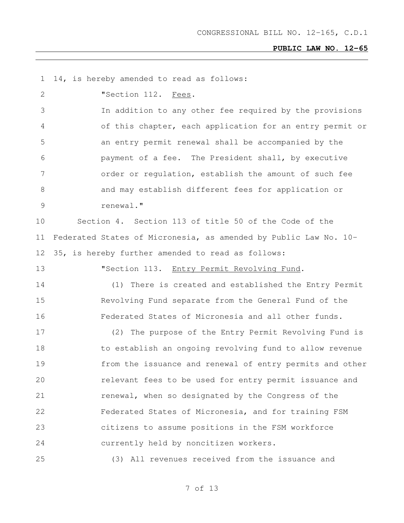14, is hereby amended to read as follows:

"Section 112. Fees.

 In addition to any other fee required by the provisions of this chapter, each application for an entry permit or an entry permit renewal shall be accompanied by the payment of a fee. The President shall, by executive order or regulation, establish the amount of such fee and may establish different fees for application or renewal."

 Section 4. Section 113 of title 50 of the Code of the Federated States of Micronesia, as amended by Public Law No. 10- 35, is hereby further amended to read as follows:

"Section 113. Entry Permit Revolving Fund.

 (1) There is created and established the Entry Permit Revolving Fund separate from the General Fund of the Federated States of Micronesia and all other funds.

 (2) The purpose of the Entry Permit Revolving Fund is to establish an ongoing revolving fund to allow revenue from the issuance and renewal of entry permits and other relevant fees to be used for entry permit issuance and **renewal, when so designated by the Congress of the**  Federated States of Micronesia, and for training FSM citizens to assume positions in the FSM workforce currently held by noncitizen workers.

(3) All revenues received from the issuance and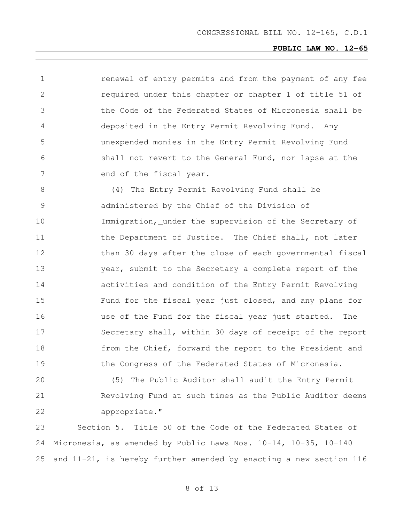renewal of entry permits and from the payment of any fee required under this chapter or chapter 1 of title 51 of the Code of the Federated States of Micronesia shall be deposited in the Entry Permit Revolving Fund. Any unexpended monies in the Entry Permit Revolving Fund shall not revert to the General Fund, nor lapse at the 7 end of the fiscal year.

 (4) The Entry Permit Revolving Fund shall be administered by the Chief of the Division of Immigration, under the supervision of the Secretary of 11 the Department of Justice. The Chief shall, not later than 30 days after the close of each governmental fiscal year, submit to the Secretary a complete report of the activities and condition of the Entry Permit Revolving Fund for the fiscal year just closed, and any plans for use of the Fund for the fiscal year just started. The Secretary shall, within 30 days of receipt of the report from the Chief, forward the report to the President and the Congress of the Federated States of Micronesia.

 (5) The Public Auditor shall audit the Entry Permit Revolving Fund at such times as the Public Auditor deems appropriate."

 Section 5. Title 50 of the Code of the Federated States of Micronesia, as amended by Public Laws Nos. 10-14, 10-35, 10-140 and 11-21, is hereby further amended by enacting a new section 116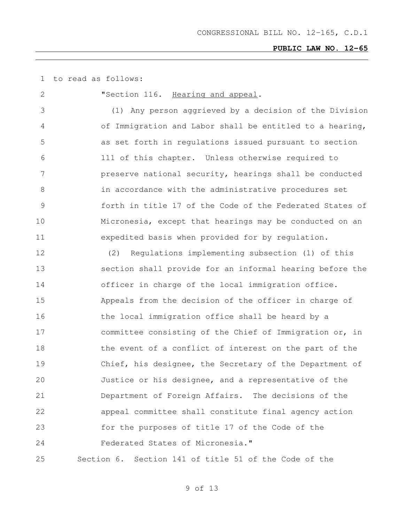to read as follows:

**"Section 116.** Hearing and appeal. (1) Any person aggrieved by a decision of the Division of Immigration and Labor shall be entitled to a hearing, as set forth in regulations issued pursuant to section 111 of this chapter. Unless otherwise required to preserve national security, hearings shall be conducted in accordance with the administrative procedures set forth in title 17 of the Code of the Federated States of Micronesia, except that hearings may be conducted on an expedited basis when provided for by regulation. (2) Regulations implementing subsection (1) of this section shall provide for an informal hearing before the officer in charge of the local immigration office. Appeals from the decision of the officer in charge of 16 the local immigration office shall be heard by a committee consisting of the Chief of Immigration or, in 18 the event of a conflict of interest on the part of the Chief, his designee, the Secretary of the Department of Justice or his designee, and a representative of the Department of Foreign Affairs. The decisions of the appeal committee shall constitute final agency action for the purposes of title 17 of the Code of the Federated States of Micronesia." Section 6. Section 141 of title 51 of the Code of the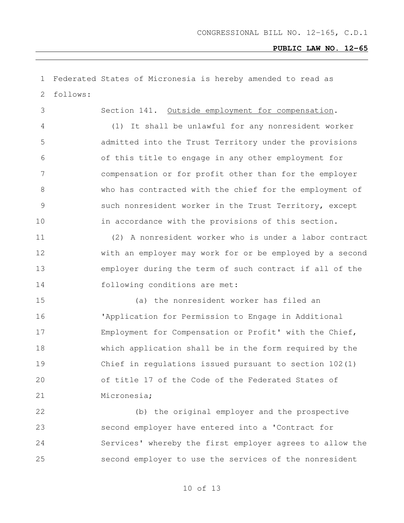| 1             |          | Federated States of Micronesia is hereby amended to read as |
|---------------|----------|-------------------------------------------------------------|
| 2             | follows: |                                                             |
| 3             |          | Section 141. Outside employment for compensation.           |
| 4             |          | It shall be unlawful for any nonresident worker<br>(1)      |
| 5             |          | admitted into the Trust Territory under the provisions      |
| 6             |          | of this title to engage in any other employment for         |
| 7             |          | compensation or for profit other than for the employer      |
| $8\,$         |          | who has contracted with the chief for the employment of     |
| $\mathcal{G}$ |          | such nonresident worker in the Trust Territory, except      |
| 10            |          | in accordance with the provisions of this section.          |
| 11            |          | (2) A nonresident worker who is under a labor contract      |
| 12            |          | with an employer may work for or be employed by a second    |
| 13            |          | employer during the term of such contract if all of the     |
| 14            |          | following conditions are met:                               |
| 15            |          | (a) the nonresident worker has filed an                     |
| 16            |          | 'Application for Permission to Engage in Additional         |
| 17            |          | Employment for Compensation or Profit' with the Chief,      |
| 18            |          | which application shall be in the form required by the      |
| 19            |          | Chief in regulations issued pursuant to section $102(1)$    |
| 20            |          | of title 17 of the Code of the Federated States of          |
| 21            |          | Micronesia;                                                 |
| 22            |          | (b) the original employer and the prospective               |
| 23            |          | second employer have entered into a 'Contract for           |
| 24            |          | Services' whereby the first employer agrees to allow the    |
| 25            |          | second employer to use the services of the nonresident      |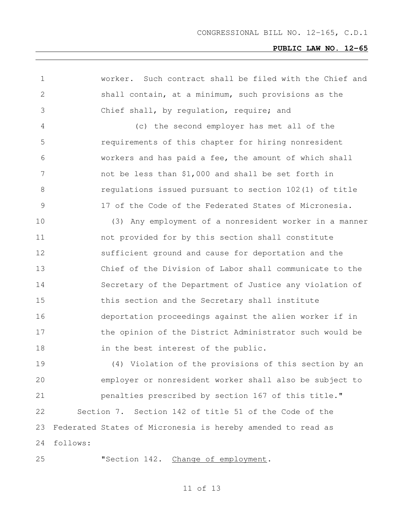| $\mathbf 1$    |          | worker. Such contract shall be filed with the Chief and     |
|----------------|----------|-------------------------------------------------------------|
| $\overline{2}$ |          | shall contain, at a minimum, such provisions as the         |
| 3              |          | Chief shall, by regulation, require; and                    |
| 4              |          | (c) the second employer has met all of the                  |
| 5              |          | requirements of this chapter for hiring nonresident         |
| 6              |          | workers and has paid a fee, the amount of which shall       |
| 7              |          | not be less than \$1,000 and shall be set forth in          |
| 8              |          | regulations issued pursuant to section 102(1) of title      |
| $\mathcal{G}$  |          | 17 of the Code of the Federated States of Micronesia.       |
| 10             |          | (3) Any employment of a nonresident worker in a manner      |
| 11             |          | not provided for by this section shall constitute           |
| 12             |          | sufficient ground and cause for deportation and the         |
| 13             |          | Chief of the Division of Labor shall communicate to the     |
| 14             |          | Secretary of the Department of Justice any violation of     |
| 15             |          | this section and the Secretary shall institute              |
| 16             |          | deportation proceedings against the alien worker if in      |
| 17             |          | the opinion of the District Administrator such would be     |
| 18             |          | in the best interest of the public.                         |
| 19             |          | (4) Violation of the provisions of this section by an       |
| 20             |          | employer or nonresident worker shall also be subject to     |
| 21             |          | penalties prescribed by section 167 of this title."         |
| 22             |          | Section 7. Section 142 of title 51 of the Code of the       |
| 23             |          | Federated States of Micronesia is hereby amended to read as |
| 24             | follows: |                                                             |
| 25             |          | "Section 142. Change of employment.                         |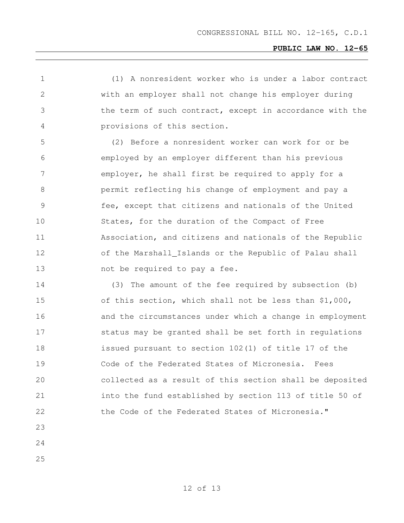(1) A nonresident worker who is under a labor contract with an employer shall not change his employer during the term of such contract, except in accordance with the provisions of this section.

 (2) Before a nonresident worker can work for or be employed by an employer different than his previous employer, he shall first be required to apply for a permit reflecting his change of employment and pay a fee, except that citizens and nationals of the United States, for the duration of the Compact of Free Association, and citizens and nationals of the Republic of the Marshall Islands or the Republic of Palau shall 13 not be required to pay a fee.

 (3) The amount of the fee required by subsection (b) of this section, which shall not be less than \$1,000, and the circumstances under which a change in employment status may be granted shall be set forth in regulations issued pursuant to section 102(1) of title 17 of the Code of the Federated States of Micronesia. Fees collected as a result of this section shall be deposited into the fund established by section 113 of title 50 of 22 the Code of the Federated States of Micronesia."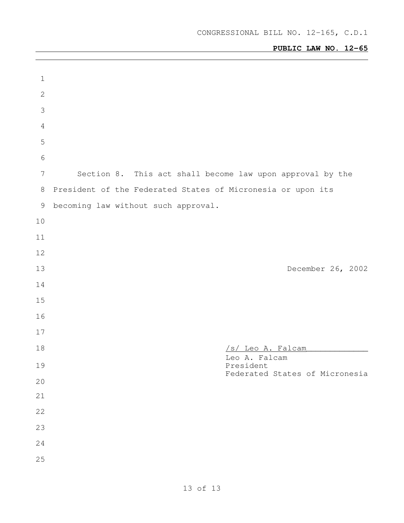| $\mathbf 1$      |                                                             |  |
|------------------|-------------------------------------------------------------|--|
| $\sqrt{2}$       |                                                             |  |
| $\mathfrak{Z}$   |                                                             |  |
| $\overline{4}$   |                                                             |  |
| 5                |                                                             |  |
| $6\,$            |                                                             |  |
| $\boldsymbol{7}$ | Section 8. This act shall become law upon approval by the   |  |
| 8                | President of the Federated States of Micronesia or upon its |  |
| 9                | becoming law without such approval.                         |  |
| 10               |                                                             |  |
| 11               |                                                             |  |
| 12               |                                                             |  |
| 13               | December 26, 2002                                           |  |
| 14               |                                                             |  |
| 15               |                                                             |  |
| 16               |                                                             |  |
| 17               |                                                             |  |
| 18               | /s/ Leo A. Falcam                                           |  |
| 19               | Leo A. Falcam<br>President                                  |  |
| $20$             | Federated States of Micronesia                              |  |
| $21$             |                                                             |  |
| 22               |                                                             |  |
| 23               |                                                             |  |
| 24               |                                                             |  |
| 25               |                                                             |  |